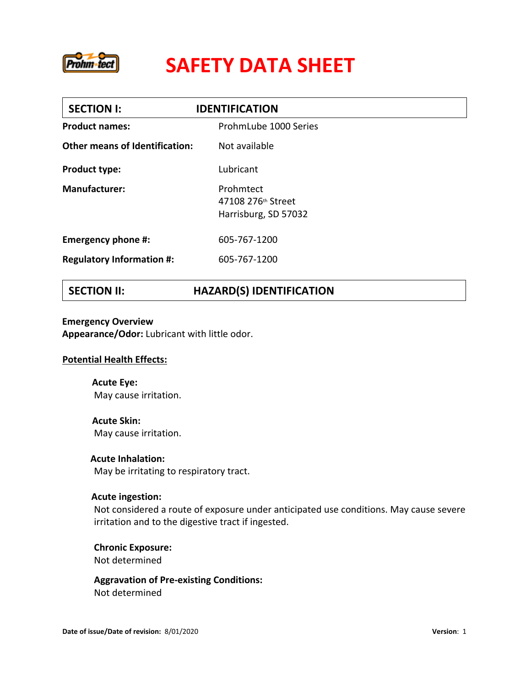

| <b>SECTION I:</b>                     | <b>IDENTIFICATION</b>                                   |  |
|---------------------------------------|---------------------------------------------------------|--|
| <b>Product names:</b>                 | ProhmLube 1000 Series                                   |  |
| <b>Other means of Identification:</b> | Not available                                           |  |
| <b>Product type:</b>                  | Lubricant                                               |  |
| <b>Manufacturer:</b>                  | Prohmtect<br>47108 276th Street<br>Harrisburg, SD 57032 |  |
| Emergency phone #:                    | 605-767-1200                                            |  |
| <b>Regulatory Information #:</b>      | 605-767-1200                                            |  |
|                                       |                                                         |  |

## **SECTION II: HAZARD(S) IDENTIFICATION**

**Emergency Overview Appearance/Odor:** Lubricant with little odor.

### **Potential Health Effects:**

**Acute Eye:**  May cause irritation.

**Acute Skin:**  May cause irritation.

**Acute Inhalation:**  May be irritating to respiratory tract.

### **Acute ingestion:**

Not considered a route of exposure under anticipated use conditions. May cause severe irritation and to the digestive tract if ingested.

**Chronic Exposure:** Not determined

**Aggravation of Pre-existing Conditions:** Not determined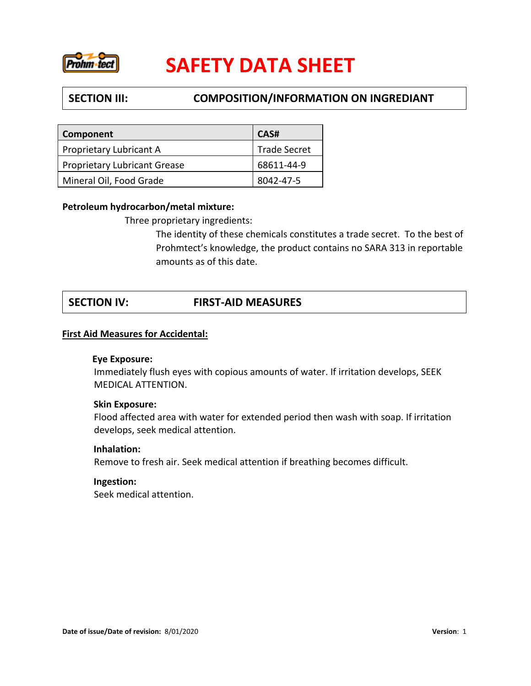

## **SECTION III: COMPOSITION/INFORMATION ON INGREDIANT**

| Component                           | CAS#                |
|-------------------------------------|---------------------|
| Proprietary Lubricant A             | <b>Trade Secret</b> |
| <b>Proprietary Lubricant Grease</b> | 68611-44-9          |
| Mineral Oil, Food Grade             | 8042-47-5           |

### **Petroleum hydrocarbon/metal mixture:**

Three proprietary ingredients:

The identity of these chemicals constitutes a trade secret. To the best of Prohmtect's knowledge, the product contains no SARA 313 in reportable amounts as of this date.

## **SECTION IV: FIRST-AID MEASURES**

### **First Aid Measures for Accidental:**

### **Eye Exposure:**

Immediately flush eyes with copious amounts of water. If irritation develops, SEEK MEDICAL ATTENTION.

### **Skin Exposure:**

Flood affected area with water for extended period then wash with soap. If irritation develops, seek medical attention.

### **Inhalation:**

Remove to fresh air. Seek medical attention if breathing becomes difficult.

### **Ingestion:**

Seek medical attention.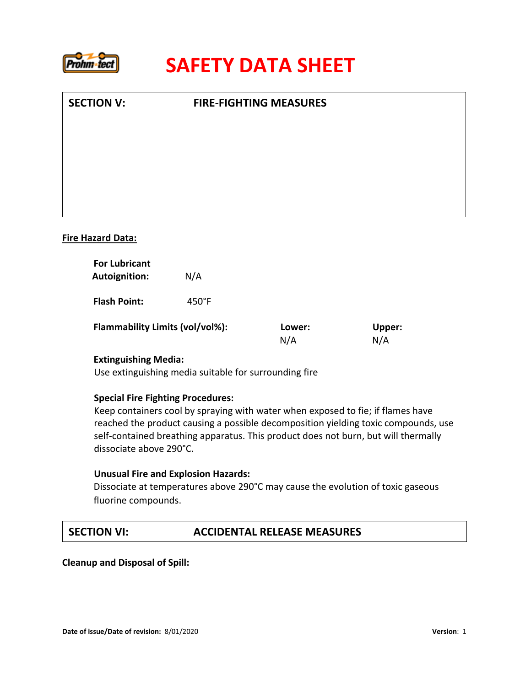

| <b>SECTION V:</b>        | <b>FIRE-FIGHTING MEASURES</b> |  |
|--------------------------|-------------------------------|--|
|                          |                               |  |
|                          |                               |  |
|                          |                               |  |
|                          |                               |  |
| <b>Fire Hazard Data:</b> |                               |  |

| <b>Autoignition:</b>                                   | N/A             |        |        |  |
|--------------------------------------------------------|-----------------|--------|--------|--|
| <b>Flash Point:</b><br>Flammability Limits (vol/vol%): | $450^{\circ}$ F | Lower: | Upper: |  |
|                                                        |                 | N/A    | N/A    |  |

### **Extinguishing Media:**

Use extinguishing media suitable for surrounding fire

### **Special Fire Fighting Procedures:**

Keep containers cool by spraying with water when exposed to fie; if flames have reached the product causing a possible decomposition yielding toxic compounds, use self-contained breathing apparatus. This product does not burn, but will thermally dissociate above 290°C.

### **Unusual Fire and Explosion Hazards:**

Dissociate at temperatures above 290°C may cause the evolution of toxic gaseous fluorine compounds.

### **SECTION VI: ACCIDENTAL RELEASE MEASURES**

 **Cleanup and Disposal of Spill:**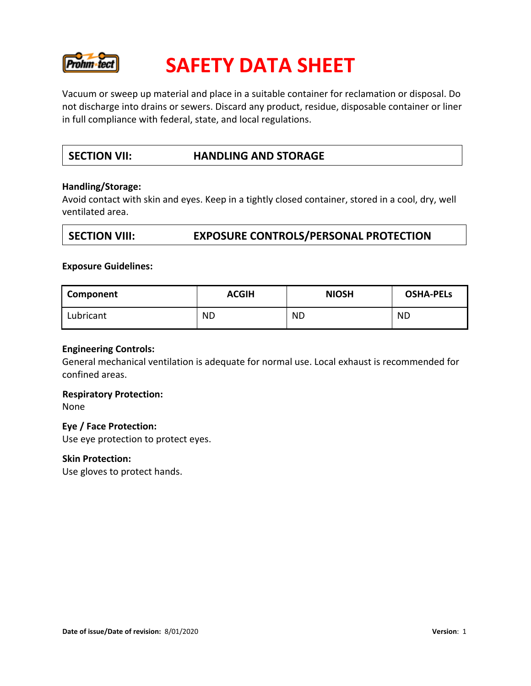

Vacuum or sweep up material and place in a suitable container for reclamation or disposal. Do not discharge into drains or sewers. Discard any product, residue, disposable container or liner in full compliance with federal, state, and local regulations.

## **SECTION VII: HANDLING AND STORAGE**

### **Handling/Storage:**

Avoid contact with skin and eyes. Keep in a tightly closed container, stored in a cool, dry, well ventilated area.

### **SECTION VIII: EXPOSURE CONTROLS/PERSONAL PROTECTION**

#### **Exposure Guidelines:**

| Component | <b>ACGIH</b> | <b>NIOSH</b> | <b>OSHA-PELS</b> |
|-----------|--------------|--------------|------------------|
| Lubricant | <b>ND</b>    | <b>ND</b>    | <b>ND</b>        |

### **Engineering Controls:**

General mechanical ventilation is adequate for normal use. Local exhaust is recommended for confined areas.

### **Respiratory Protection:**

None

### **Eye / Face Protection:**

Use eye protection to protect eyes.

#### **Skin Protection:**

Use gloves to protect hands.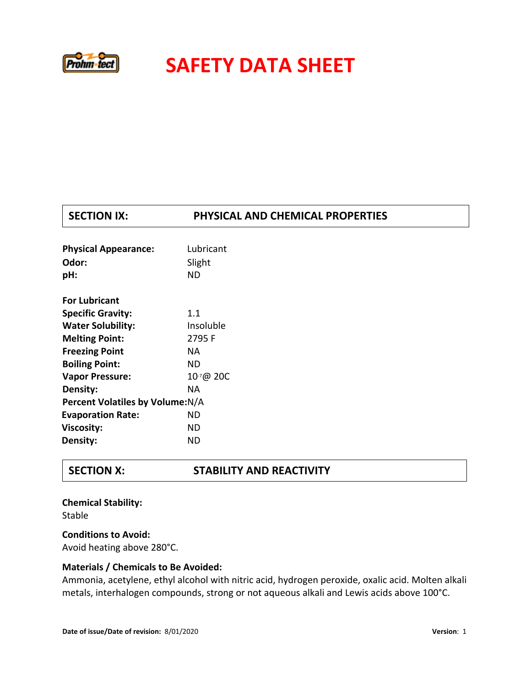

## **SECTION IX: PHYSICAL AND CHEMICAL PROPERTIES**

| <b>Physical Appearance:</b>      | Lubricant |  |
|----------------------------------|-----------|--|
| Odor:                            | Slight    |  |
| pH:                              | ND        |  |
| <b>For Lubricant</b>             |           |  |
| <b>Specific Gravity:</b>         | 1.1       |  |
| <b>Water Solubility:</b>         | Insoluble |  |
| <b>Melting Point:</b>            | 2795F     |  |
| <b>Freezing Point</b>            | NA.       |  |
| <b>Boiling Point:</b>            | ND        |  |
| <b>Vapor Pressure:</b>           | 10-7@ 20C |  |
| Density:                         | NA.       |  |
| Percent Volatiles by Volume: N/A |           |  |
| <b>Evaporation Rate:</b>         | ND        |  |
| <b>Viscosity:</b>                | ND        |  |
| Density:                         | ND        |  |

### **SECTION X: STABILITY AND REACTIVITY**

**Chemical Stability:**  Stable **Conditions to Avoid:** 

Avoid heating above 280°C.

### **Materials / Chemicals to Be Avoided:**

Ammonia, acetylene, ethyl alcohol with nitric acid, hydrogen peroxide, oxalic acid. Molten alkali metals, interhalogen compounds, strong or not aqueous alkali and Lewis acids above 100°C.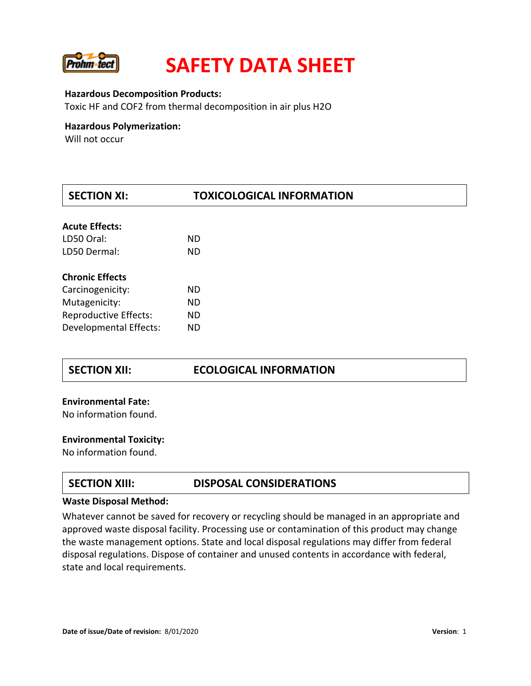

#### **Hazardous Decomposition Products:**

Toxic HF and COF2 from thermal decomposition in air plus H2O

### **Hazardous Polymerization:**

Will not occur

| <b>SECTION XI:</b>           | <b>TOXICOLOGICAL INFORMATION</b> |  |  |
|------------------------------|----------------------------------|--|--|
| <b>Acute Effects:</b>        |                                  |  |  |
| LD50 Oral:                   | <b>ND</b>                        |  |  |
|                              |                                  |  |  |
| LD50 Dermal:                 | <b>ND</b>                        |  |  |
| <b>Chronic Effects</b>       |                                  |  |  |
| Carcinogenicity:             | <b>ND</b>                        |  |  |
| Mutagenicity:                | <b>ND</b>                        |  |  |
| <b>Reproductive Effects:</b> | <b>ND</b>                        |  |  |
| Developmental Effects:       | <b>ND</b>                        |  |  |

### **SECTION XII: ECOLOGICAL INFORMATION**

# **Environmental Fate:** No information found.

# **Environmental Toxicity:** No information found.

### **SECTION XIII: DISPOSAL CONSIDERATIONS**

#### **Waste Disposal Method:**

Whatever cannot be saved for recovery or recycling should be managed in an appropriate and approved waste disposal facility. Processing use or contamination of this product may change the waste management options. State and local disposal regulations may differ from federal disposal regulations. Dispose of container and unused contents in accordance with federal, state and local requirements.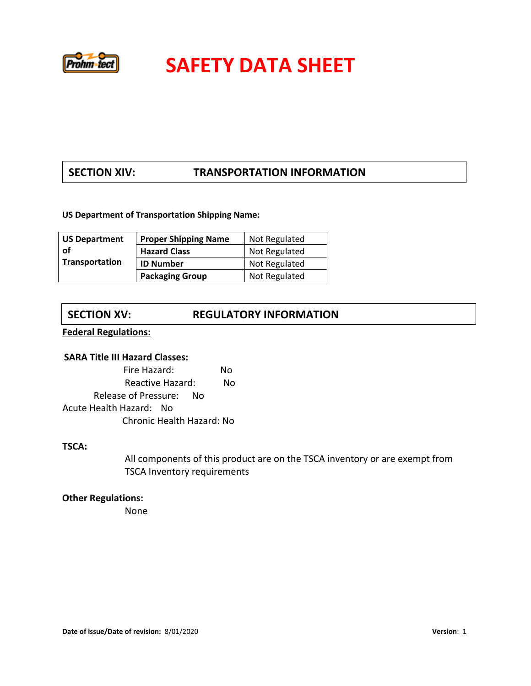

## **SECTION XIV: TRANSPORTATION INFORMATION**

### **US Department of Transportation Shipping Name:**

| <b>US Department</b>  | <b>Proper Shipping Name</b> | Not Regulated |
|-----------------------|-----------------------------|---------------|
| 0f                    | <b>Hazard Class</b>         | Not Regulated |
| <b>Transportation</b> | <b>ID Number</b>            | Not Regulated |
|                       | <b>Packaging Group</b>      | Not Regulated |

## **SECTION XV: REGULATORY INFORMATION**

**Federal Regulations:**

### **SARA Title III Hazard Classes:**

Fire Hazard:No Reactive Hazard:No Release of Pressure:No Acute Health Hazard:No Chronic Health Hazard: No

### **TSCA:**

All components of this product are on the TSCA inventory or are exempt from TSCA Inventory requirements

# **Other Regulations:** None